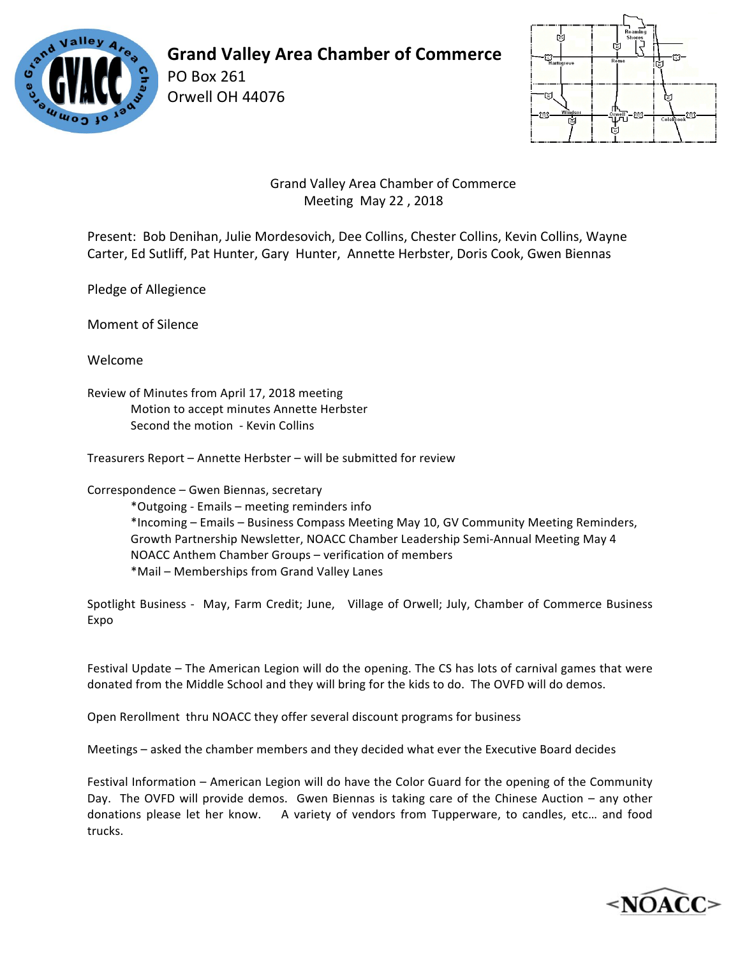

**Grand Valley Area Chamber of Commerce**

Orwell OH 44076

PO Box 261



 Grand Valley Area Chamber of Commerce Meeting May 22, 2018

Present: Bob Denihan, Julie Mordesovich, Dee Collins, Chester Collins, Kevin Collins, Wayne Carter, Ed Sutliff, Pat Hunter, Gary Hunter, Annette Herbster, Doris Cook, Gwen Biennas

Pledge of Allegience

Moment of Silence

Welcome

Review of Minutes from April 17, 2018 meeting Motion to accept minutes Annette Herbster Second the motion - Kevin Collins

Treasurers Report – Annette Herbster – will be submitted for review

Correspondence - Gwen Biennas, secretary

\*Outgoing - Emails – meeting reminders info \*Incoming - Emails - Business Compass Meeting May 10, GV Community Meeting Reminders, Growth Partnership Newsletter, NOACC Chamber Leadership Semi-Annual Meeting May 4 NOACC Anthem Chamber Groups - verification of members \*Mail – Memberships from Grand Valley Lanes

Spotlight Business - May, Farm Credit; June, Village of Orwell; July, Chamber of Commerce Business Expo

Festival Update – The American Legion will do the opening. The CS has lots of carnival games that were donated from the Middle School and they will bring for the kids to do. The OVFD will do demos.

Open Rerollment thru NOACC they offer several discount programs for business

Meetings – asked the chamber members and they decided what ever the Executive Board decides

Festival Information – American Legion will do have the Color Guard for the opening of the Community Day. The OVFD will provide demos. Gwen Biennas is taking care of the Chinese Auction – any other donations please let her know. A variety of vendors from Tupperware, to candles, etc... and food trucks.